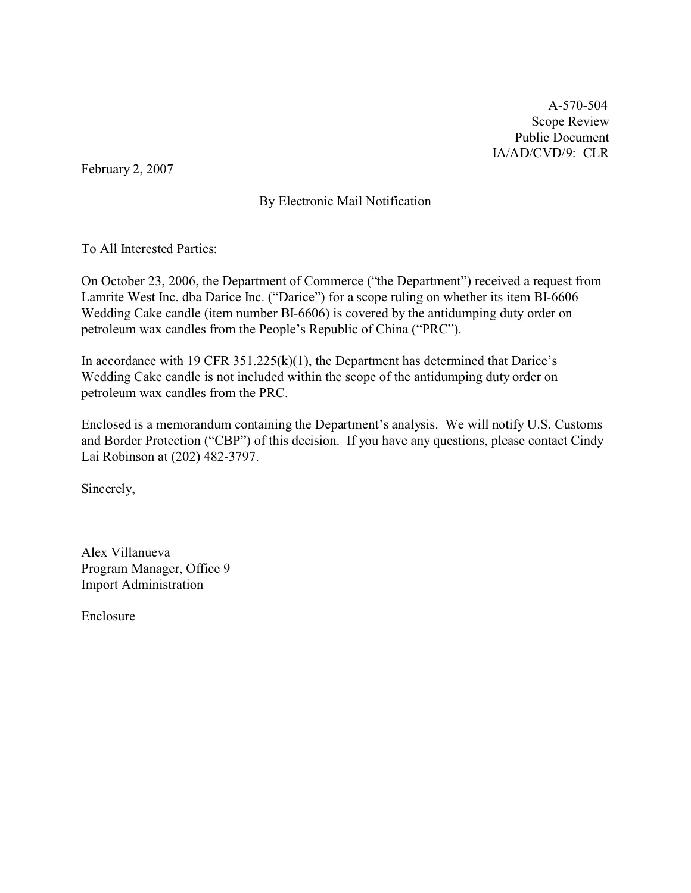A-570-504 Scope Review Public Document IA/AD/CVD/9: CLR

February 2, 2007

By Electronic Mail Notification

To All Interested Parties:

On October 23, 2006, the Department of Commerce ("the Department") received a request from Lamrite West Inc. dba Darice Inc. ("Darice") for a scope ruling on whether its item BI-6606 Wedding Cake candle (item number BI-6606) is covered by the antidumping duty order on petroleum wax candles from the People's Republic of China ("PRC").

In accordance with 19 CFR  $351.225(k)(1)$ , the Department has determined that Darice's Wedding Cake candle is not included within the scope of the antidumping duty order on petroleum wax candles from the PRC.

Enclosed is a memorandum containing the Department's analysis. We will notify U.S. Customs and Border Protection ("CBP") of this decision. If you have any questions, please contact Cindy Lai Robinson at (202) 482-3797.

Sincerely,

Alex Villanueva Program Manager, Office 9 Import Administration

Enclosure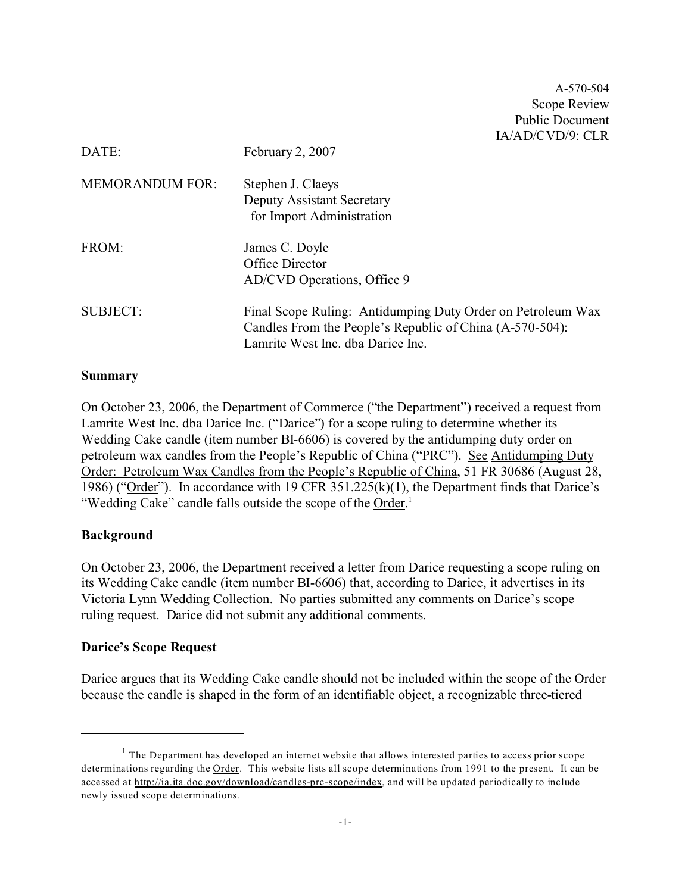A-570-504 Scope Review Public Document IA/AD/CVD/9: CLR

| DATE:                  | February 2, 2007                                                                                                                                             |
|------------------------|--------------------------------------------------------------------------------------------------------------------------------------------------------------|
| <b>MEMORANDUM FOR:</b> | Stephen J. Claeys<br><b>Deputy Assistant Secretary</b><br>for Import Administration                                                                          |
| FROM:                  | James C. Doyle<br>Office Director<br>AD/CVD Operations, Office 9                                                                                             |
| <b>SUBJECT:</b>        | Final Scope Ruling: Antidumping Duty Order on Petroleum Wax<br>Candles From the People's Republic of China (A-570-504):<br>Lamrite West Inc. dba Darice Inc. |

#### **Summary**

On October 23, 2006, the Department of Commerce ("the Department") received a request from Lamrite West Inc. dba Darice Inc. ("Darice") for a scope ruling to determine whether its Wedding Cake candle (item number BI-6606) is covered by the antidumping duty order on petroleum wax candles from the People's Republic of China ("PRC"). See Antidumping Duty Order: Petroleum Wax Candles from the People's Republic of China, 51 FR 30686 (August 28, 1986) ("Order"). In accordance with 19 CFR 351.225(k)(1), the Department finds that Darice's "Wedding Cake" candle falls outside the scope of the Order.<sup>1</sup>

### **Background**

On October 23, 2006, the Department received a letter from Darice requesting a scope ruling on its Wedding Cake candle (item number BI-6606) that, according to Darice, it advertises in its Victoria Lynn Wedding Collection. No parties submitted any comments on Darice's scope ruling request. Darice did not submit any additional comments.

### **Darice's Scope Request**

Darice argues that its Wedding Cake candle should not be included within the scope of the Order because the candle is shaped in the form of an identifiable object, a recognizable three-tiered

 $<sup>1</sup>$  The Department has developed an internet website that allows interested parties to access prior scope</sup> determinations regarding the Order. This website lists all scope determinations from 1991 to the present. It can be accessed at http://ia.ita.doc.gov/download/candles-prc-scope/index, and will be updated periodically to include newly issued scope determinations.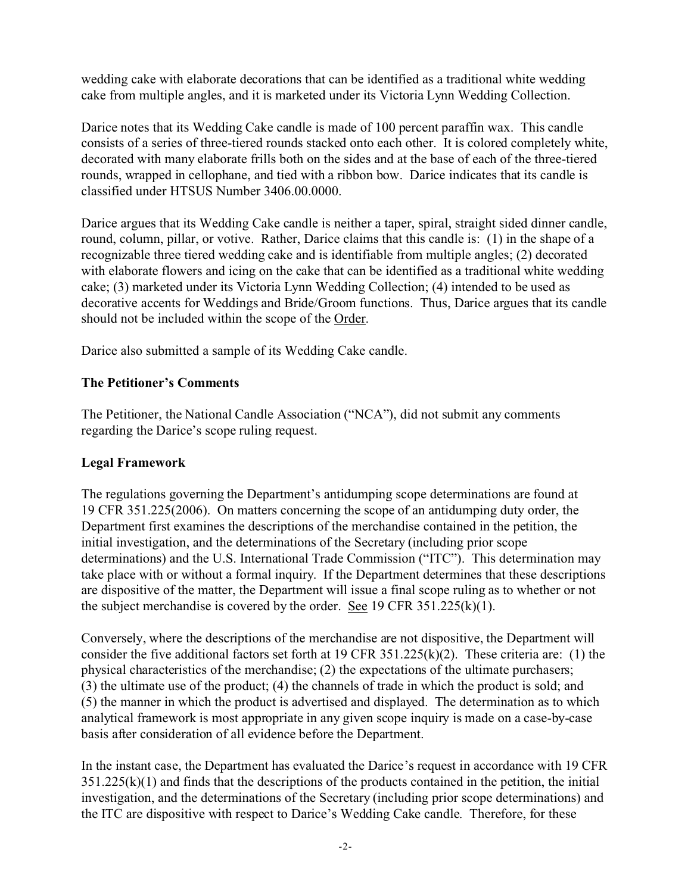wedding cake with elaborate decorations that can be identified as a traditional white wedding cake from multiple angles, and it is marketed under its Victoria Lynn Wedding Collection.

Darice notes that its Wedding Cake candle is made of 100 percent paraffin wax. This candle consists of a series of three-tiered rounds stacked onto each other. It is colored completely white, decorated with many elaborate frills both on the sides and at the base of each of the three-tiered rounds, wrapped in cellophane, and tied with a ribbon bow. Darice indicates that its candle is classified under HTSUS Number 3406.00.0000.

Darice argues that its Wedding Cake candle is neither a taper, spiral, straight sided dinner candle, round, column, pillar, or votive. Rather, Darice claims that this candle is: (1) in the shape of a recognizable three tiered wedding cake and is identifiable from multiple angles; (2) decorated with elaborate flowers and icing on the cake that can be identified as a traditional white wedding cake; (3) marketed under its Victoria Lynn Wedding Collection; (4) intended to be used as decorative accents for Weddings and Bride/Groom functions. Thus, Darice argues that its candle should not be included within the scope of the Order.

Darice also submitted a sample of its Wedding Cake candle.

## **The Petitioner's Comments**

The Petitioner, the National Candle Association ("NCA"), did not submit any comments regarding the Darice's scope ruling request.

# **Legal Framework**

The regulations governing the Department's antidumping scope determinations are found at 19 CFR 351.225(2006). On matters concerning the scope of an antidumping duty order, the Department first examines the descriptions of the merchandise contained in the petition, the initial investigation, and the determinations of the Secretary (including prior scope determinations) and the U.S. International Trade Commission ("ITC"). This determination may take place with or without a formal inquiry. If the Department determines that these descriptions are dispositive of the matter, the Department will issue a final scope ruling as to whether or not the subject merchandise is covered by the order. See 19 CFR 351.225(k)(1).

Conversely, where the descriptions of the merchandise are not dispositive, the Department will consider the five additional factors set forth at 19 CFR 351.225(k)(2). These criteria are: (1) the physical characteristics of the merchandise; (2) the expectations of the ultimate purchasers; (3) the ultimate use of the product; (4) the channels of trade in which the product is sold; and (5) the manner in which the product is advertised and displayed. The determination as to which analytical framework is most appropriate in any given scope inquiry is made on a case-by-case basis after consideration of all evidence before the Department.

In the instant case, the Department has evaluated the Darice's request in accordance with 19 CFR  $351.225(k)(1)$  and finds that the descriptions of the products contained in the petition, the initial investigation, and the determinations of the Secretary (including prior scope determinations) and the ITC are dispositive with respect to Darice's Wedding Cake candle. Therefore, for these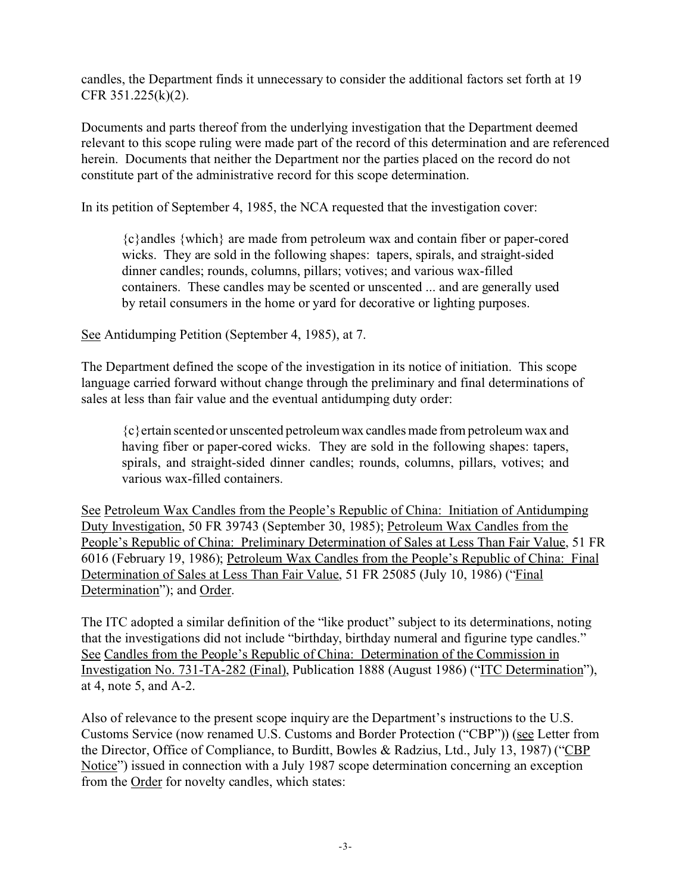candles, the Department finds it unnecessary to consider the additional factors set forth at 19 CFR 351.225(k)(2).

Documents and parts thereof from the underlying investigation that the Department deemed relevant to this scope ruling were made part of the record of this determination and are referenced herein. Documents that neither the Department nor the parties placed on the record do not constitute part of the administrative record for this scope determination.

In its petition of September 4, 1985, the NCA requested that the investigation cover:

{c}andles {which} are made from petroleum wax and contain fiber or paper-cored wicks. They are sold in the following shapes: tapers, spirals, and straight-sided dinner candles; rounds, columns, pillars; votives; and various wax-filled containers. These candles may be scented or unscented ... and are generally used by retail consumers in the home or yard for decorative or lighting purposes.

See Antidumping Petition (September 4, 1985), at 7.

The Department defined the scope of the investigation in its notice of initiation. This scope language carried forward without change through the preliminary and final determinations of sales at less than fair value and the eventual antidumping duty order:

{c}ertain scented or unscented petroleumwax candles made from petroleum wax and having fiber or paper-cored wicks. They are sold in the following shapes: tapers, spirals, and straight-sided dinner candles; rounds, columns, pillars, votives; and various wax-filled containers.

See Petroleum Wax Candles from the People's Republic of China: Initiation of Antidumping Duty Investigation, 50 FR 39743 (September 30, 1985); Petroleum Wax Candles from the People's Republic of China: Preliminary Determination of Sales at Less Than Fair Value, 51 FR 6016 (February 19, 1986); Petroleum Wax Candles from the People's Republic of China: Final Determination of Sales at Less Than Fair Value, 51 FR 25085 (July 10, 1986) ("Final Determination"); and Order.

The ITC adopted a similar definition of the "like product" subject to its determinations, noting that the investigations did not include "birthday, birthday numeral and figurine type candles." See Candles from the People's Republic of China: Determination of the Commission in Investigation No. 731-TA-282 (Final), Publication 1888 (August 1986) ("ITC Determination"), at 4, note 5, and A-2.

Also of relevance to the present scope inquiry are the Department's instructions to the U.S. Customs Service (now renamed U.S. Customs and Border Protection ("CBP")) (see Letter from the Director, Office of Compliance, to Burditt, Bowles & Radzius, Ltd., July 13, 1987) ("CBP Notice") issued in connection with a July 1987 scope determination concerning an exception from the Order for novelty candles, which states: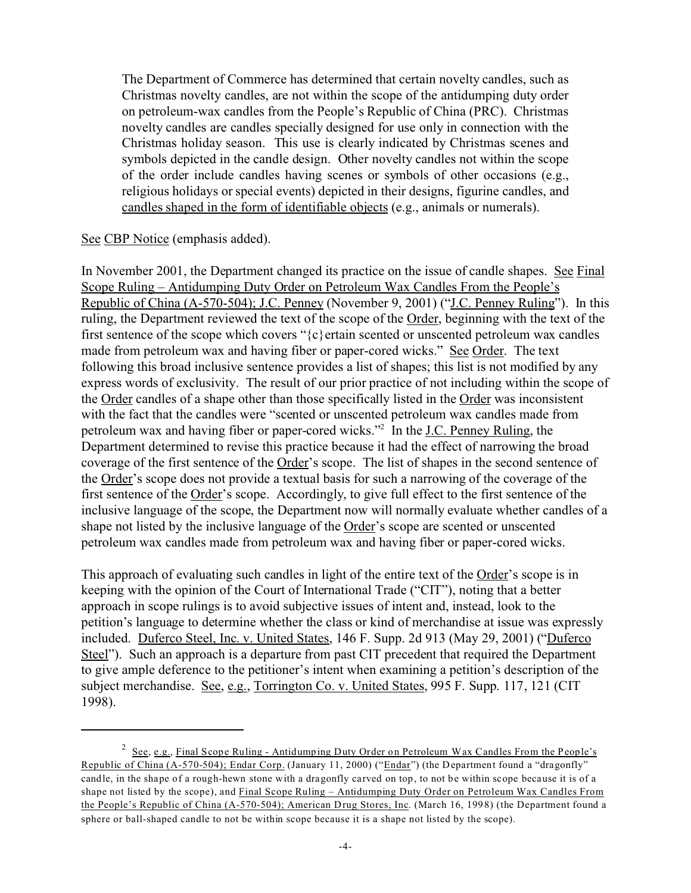The Department of Commerce has determined that certain novelty candles, such as Christmas novelty candles, are not within the scope of the antidumping duty order on petroleum-wax candles from the People's Republic of China (PRC). Christmas novelty candles are candles specially designed for use only in connection with the Christmas holiday season. This use is clearly indicated by Christmas scenes and symbols depicted in the candle design. Other novelty candles not within the scope of the order include candles having scenes or symbols of other occasions (e.g., religious holidays or special events) depicted in their designs, figurine candles, and candles shaped in the form of identifiable objects (e.g., animals or numerals).

### See CBP Notice (emphasis added).

In November 2001, the Department changed its practice on the issue of candle shapes. See Final Scope Ruling – Antidumping Duty Order on Petroleum Wax Candles From the People's Republic of China (A-570-504); J.C. Penney (November 9, 2001) ("J.C. Penney Ruling"). In this ruling, the Department reviewed the text of the scope of the Order, beginning with the text of the first sentence of the scope which covers " $\{c\}$  ertain scented or unscented petroleum wax candles made from petroleum wax and having fiber or paper-cored wicks." See Order. The text following this broad inclusive sentence provides a list of shapes; this list is not modified by any express words of exclusivity. The result of our prior practice of not including within the scope of the Order candles of a shape other than those specifically listed in the Order was inconsistent with the fact that the candles were "scented or unscented petroleum wax candles made from petroleum wax and having fiber or paper-cored wicks."<sup>2</sup> In the J.C. Penney Ruling, the Department determined to revise this practice because it had the effect of narrowing the broad coverage of the first sentence of the Order's scope. The list of shapes in the second sentence of the Order's scope does not provide a textual basis for such a narrowing of the coverage of the first sentence of the Order's scope. Accordingly, to give full effect to the first sentence of the inclusive language of the scope, the Department now will normally evaluate whether candles of a shape not listed by the inclusive language of the Order's scope are scented or unscented petroleum wax candles made from petroleum wax and having fiber or paper-cored wicks.

This approach of evaluating such candles in light of the entire text of the Order's scope is in keeping with the opinion of the Court of International Trade ("CIT"), noting that a better approach in scope rulings is to avoid subjective issues of intent and, instead, look to the petition's language to determine whether the class or kind of merchandise at issue was expressly included. Duferco Steel, Inc. v. United States, 146 F. Supp. 2d 913 (May 29, 2001) ("Duferco Steel"). Such an approach is a departure from past CIT precedent that required the Department to give ample deference to the petitioner's intent when examining a petition's description of the subject merchandise. See, e.g., Torrington Co. v. United States, 995 F. Supp. 117, 121 (CIT 1998).

 $2 \text{ See, e.g., Final Scope Ruling - Antidumping Duty Order on Petroleum Wax Candles From the People's}.$ Republic of China (A-570-504); Endar Corp. (January 11, 2000) ("Endar") (the Department found a "dragonfly" candle, in the shape of a rough-hewn stone with a dragonfly carved on top, to not be within scope because it is of a shape not listed by the scope), and Final Scope Ruling – Antidumping Duty Order on Petroleum Wax Candles From the People's Republic of China (A-570-504); American Drug Stores, Inc. (March 16, 1998) (the Department found a sphere or ball-shaped candle to not be within scope because it is a shape not listed by the scope).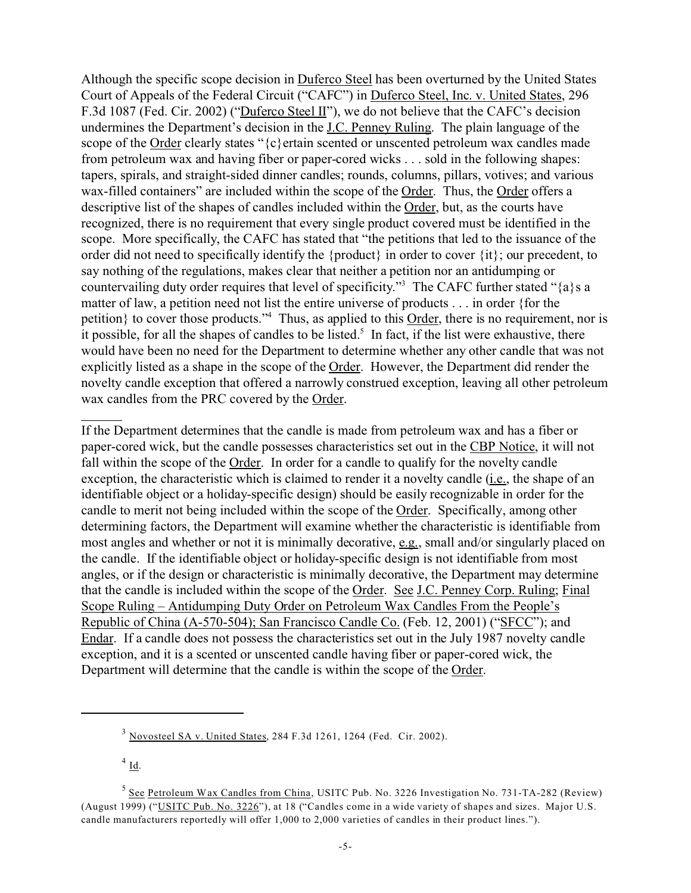Although the specific scope decision in Duferco Steel has been overturned by the United States Court of Appeals of the Federal Circuit ("CAFC") in Duferco Steel, Inc. v. United States, 296 F.3d 1087 (Fed. Cir. 2002) ("Duferco Steel II"), we do not believe that the CAFC's decision undermines the Department's decision in the J.C. Penney Ruling. The plain language of the scope of the Order clearly states "{c}ertain scented or unscented petroleum wax candles made from petroleum wax and having fiber or paper-cored wicks . . . sold in the following shapes: tapers, spirals, and straight-sided dinner candles; rounds, columns, pillars, votives; and various wax-filled containers" are included within the scope of the Order. Thus, the Order offers a descriptive list of the shapes of candles included within the Order, but, as the courts have recognized, there is no requirement that every single product covered must be identified in the scope. More specifically, the CAFC has stated that "the petitions that led to the issuance of the order did not need to specifically identify the {product} in order to cover {it}; our precedent, to say nothing of the regulations, makes clear that neither a petition nor an antidumping or countervailing duty order requires that level of specificity."<sup>3</sup> The CAFC further stated "{a}s a matter of law, a petition need not list the entire universe of products . . . in order {for the petition} to cover those products."<sup>4</sup> Thus, as applied to this **Order**, there is no requirement, nor is it possible, for all the shapes of candles to be listed.<sup>5</sup> In fact, if the list were exhaustive, there would have been no need for the Department to determine whether any other candle that was not explicitly listed as a shape in the scope of the Order. However, the Department did render the novelty candle exception that offered a narrowly construed exception, leaving all other petroleum wax candles from the PRC covered by the Order.

If the Department determines that the candle is made from petroleum wax and has a fiber or paper-cored wick, but the candle possesses characteristics set out in the CBP Notice, it will not fall within the scope of the Order. In order for a candle to qualify for the novelty candle exception, the characteristic which is claimed to render it a novelty candle (i.e., the shape of an identifiable object or a holiday-specific design) should be easily recognizable in order for the candle to merit not being included within the scope of the Order. Specifically, among other determining factors, the Department will examine whether the characteristic is identifiable from most angles and whether or not it is minimally decorative, e.g., small and/or singularly placed on the candle. If the identifiable object or holiday-specific design is not identifiable from most angles, or if the design or characteristic is minimally decorative, the Department may determine that the candle is included within the scope of the Order. See J.C. Penney Corp. Ruling; Final Scope Ruling – Antidumping Duty Order on Petroleum Wax Candles From the People's Republic of China (A-570-504); San Francisco Candle Co. (Feb. 12, 2001) ("SFCC"); and Endar. If a candle does not possess the characteristics set out in the July 1987 novelty candle exception, and it is a scented or unscented candle having fiber or paper-cored wick, the Department will determine that the candle is within the scope of the Order.

 $^{4}$  Id.

<sup>3</sup> Novosteel SA v. United States, 284 F.3d 1261, 1264 (Fed. Cir. 2002).

<sup>&</sup>lt;sup>5</sup> See Petroleum Wax Candles from China, USITC Pub. No. 3226 Investigation No. 731-TA-282 (Review) (August 1999) ("USITC Pub. No. 3226"), at 18 ("Candles come in a wide variety of shapes and sizes. Major U.S. candle manufacturers reportedly will offer 1,000 to 2,000 varieties of candles in their product lines.").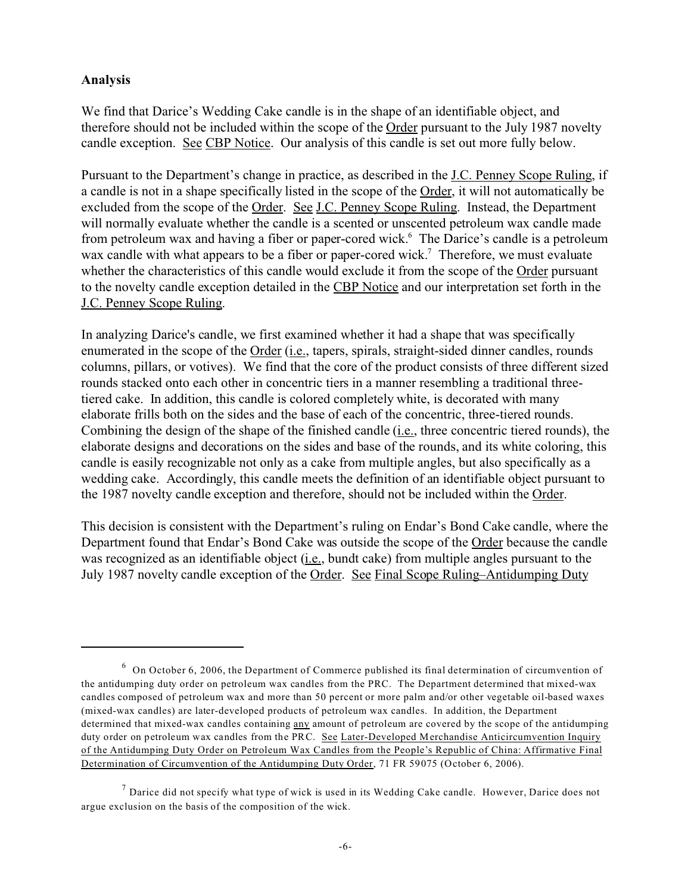## **Analysis**

We find that Darice's Wedding Cake candle is in the shape of an identifiable object, and therefore should not be included within the scope of the Order pursuant to the July 1987 novelty candle exception. See CBP Notice. Our analysis of this candle is set out more fully below.

Pursuant to the Department's change in practice, as described in the J.C. Penney Scope Ruling, if a candle is not in a shape specifically listed in the scope of the Order, it will not automatically be excluded from the scope of the Order. See J.C. Penney Scope Ruling. Instead, the Department will normally evaluate whether the candle is a scented or unscented petroleum wax candle made from petroleum wax and having a fiber or paper-cored wick.<sup>6</sup> The Darice's candle is a petroleum wax candle with what appears to be a fiber or paper-cored wick.<sup>7</sup> Therefore, we must evaluate whether the characteristics of this candle would exclude it from the scope of the Order pursuant to the novelty candle exception detailed in the CBP Notice and our interpretation set forth in the J.C. Penney Scope Ruling.

In analyzing Darice's candle, we first examined whether it had a shape that was specifically enumerated in the scope of the Order (i.e., tapers, spirals, straight-sided dinner candles, rounds columns, pillars, or votives). We find that the core of the product consists of three different sized rounds stacked onto each other in concentric tiers in a manner resembling a traditional threetiered cake. In addition, this candle is colored completely white, is decorated with many elaborate frills both on the sides and the base of each of the concentric, three-tiered rounds. Combining the design of the shape of the finished candle (i.e., three concentric tiered rounds), the elaborate designs and decorations on the sides and base of the rounds, and its white coloring, this candle is easily recognizable not only as a cake from multiple angles, but also specifically as a wedding cake. Accordingly, this candle meets the definition of an identifiable object pursuant to the 1987 novelty candle exception and therefore, should not be included within the Order.

This decision is consistent with the Department's ruling on Endar's Bond Cake candle, where the Department found that Endar's Bond Cake was outside the scope of the Order because the candle was recognized as an identifiable object (i.e., bundt cake) from multiple angles pursuant to the July 1987 novelty candle exception of the Order. See Final Scope Ruling–Antidumping Duty

 $6$  On October 6, 2006, the Department of Commerce published its final determination of circumvention of the antidumping duty order on petroleum wax candles from the PRC. The Department determined that mixed-wax candles composed of petroleum wax and more than 50 percent or more palm and/or other vegetable oil-based waxes (mixed-wax candles) are later-developed products of petroleum wax candles. In addition, the Department determined that mixed-wax candles containing any amount of petroleum are covered by the scope of the antidumping duty order on petroleum wax candles from the PRC. See Later-Developed Merchandise Anticircumvention Inquiry of the Antidumping Duty Order on Petroleum Wax Candles from the People's Republic of China: Affirmative Final Determination of Circumvention of the Antidumping Duty Order, 71 FR 59075 (October 6, 2006).

 $<sup>7</sup>$  Darice did not specify what type of wick is used in its Wedding Cake candle. However, Darice does not</sup> argue exclusion on the basis of the composition of the wick.